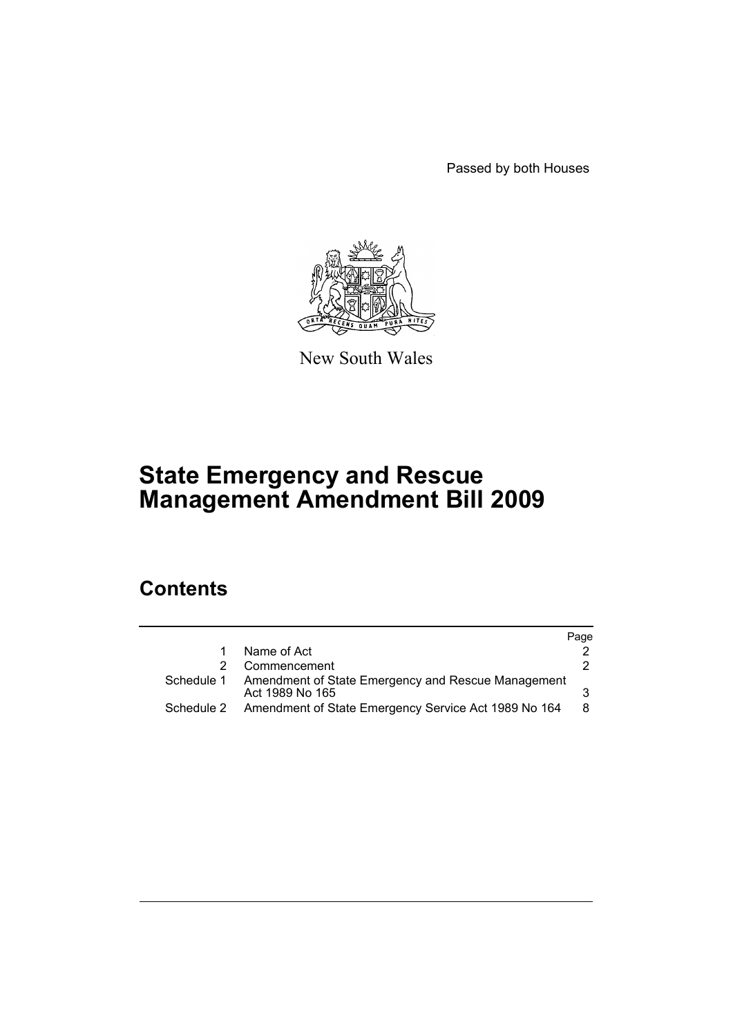Passed by both Houses



New South Wales

# **State Emergency and Rescue Management Amendment Bill 2009**

# **Contents**

|            |                                                                       | Page |
|------------|-----------------------------------------------------------------------|------|
|            | Name of Act                                                           |      |
|            | Commencement                                                          |      |
| Schedule 1 | Amendment of State Emergency and Rescue Management<br>Act 1989 No 165 |      |
| Schedule 2 | Amendment of State Emergency Service Act 1989 No 164                  | 8    |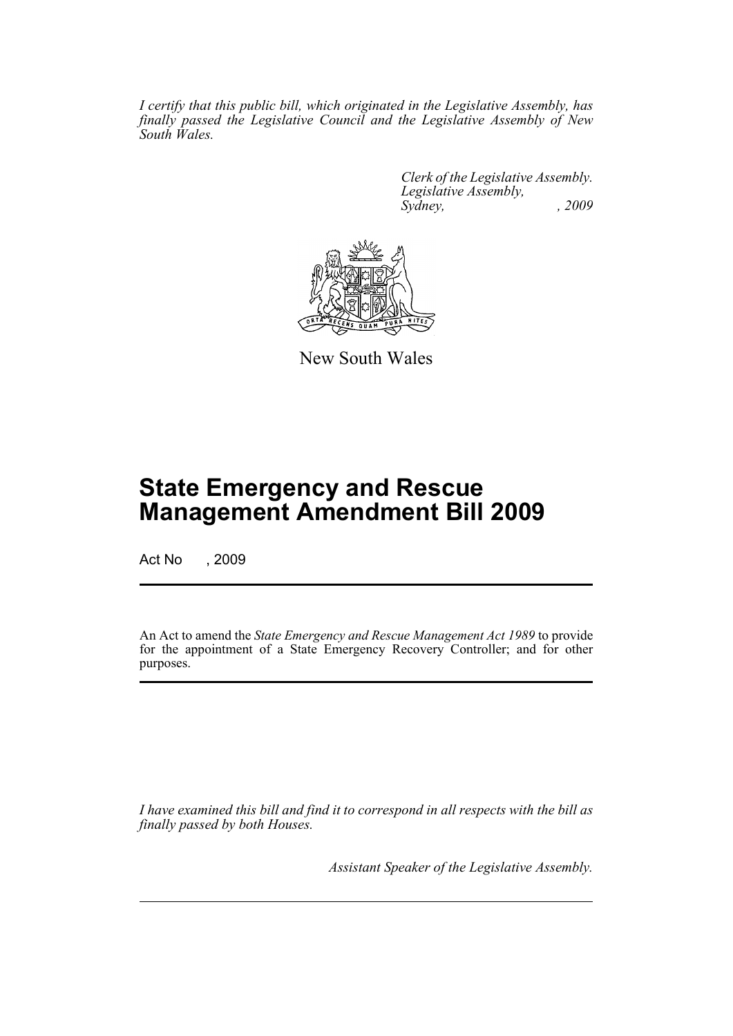*I certify that this public bill, which originated in the Legislative Assembly, has finally passed the Legislative Council and the Legislative Assembly of New South Wales.*

> *Clerk of the Legislative Assembly. Legislative Assembly, Sydney, , 2009*



New South Wales

# **State Emergency and Rescue Management Amendment Bill 2009**

Act No , 2009

An Act to amend the *State Emergency and Rescue Management Act 1989* to provide for the appointment of a State Emergency Recovery Controller; and for other purposes.

*I have examined this bill and find it to correspond in all respects with the bill as finally passed by both Houses.*

*Assistant Speaker of the Legislative Assembly.*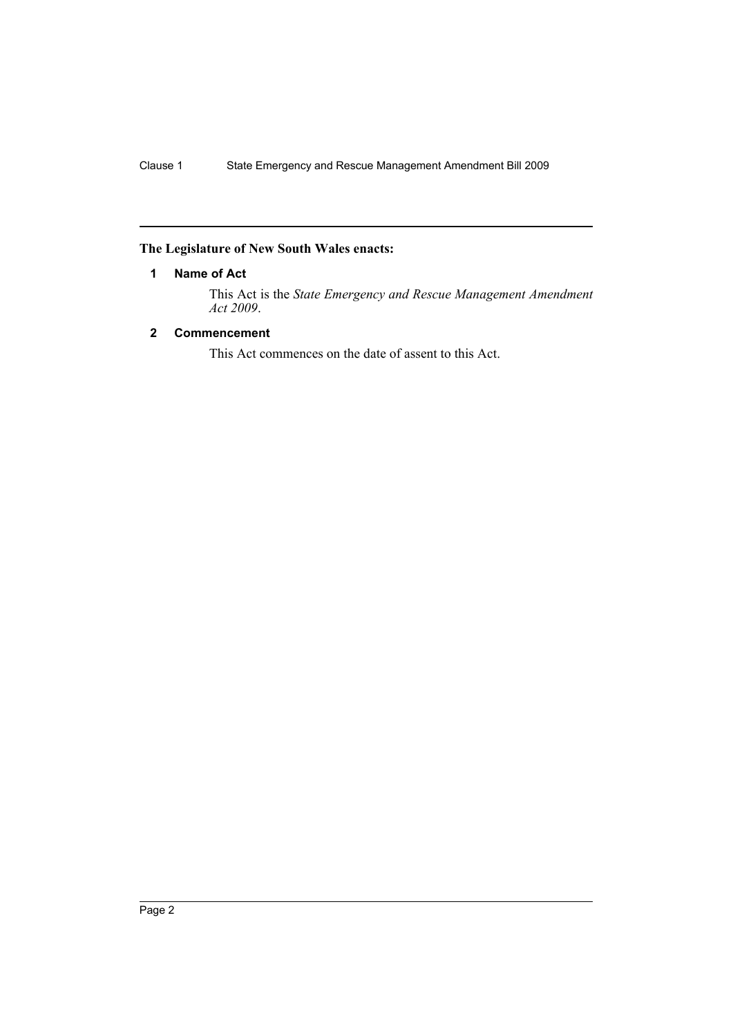# <span id="page-2-0"></span>**The Legislature of New South Wales enacts:**

# **1 Name of Act**

This Act is the *State Emergency and Rescue Management Amendment Act 2009*.

# <span id="page-2-1"></span>**2 Commencement**

This Act commences on the date of assent to this Act.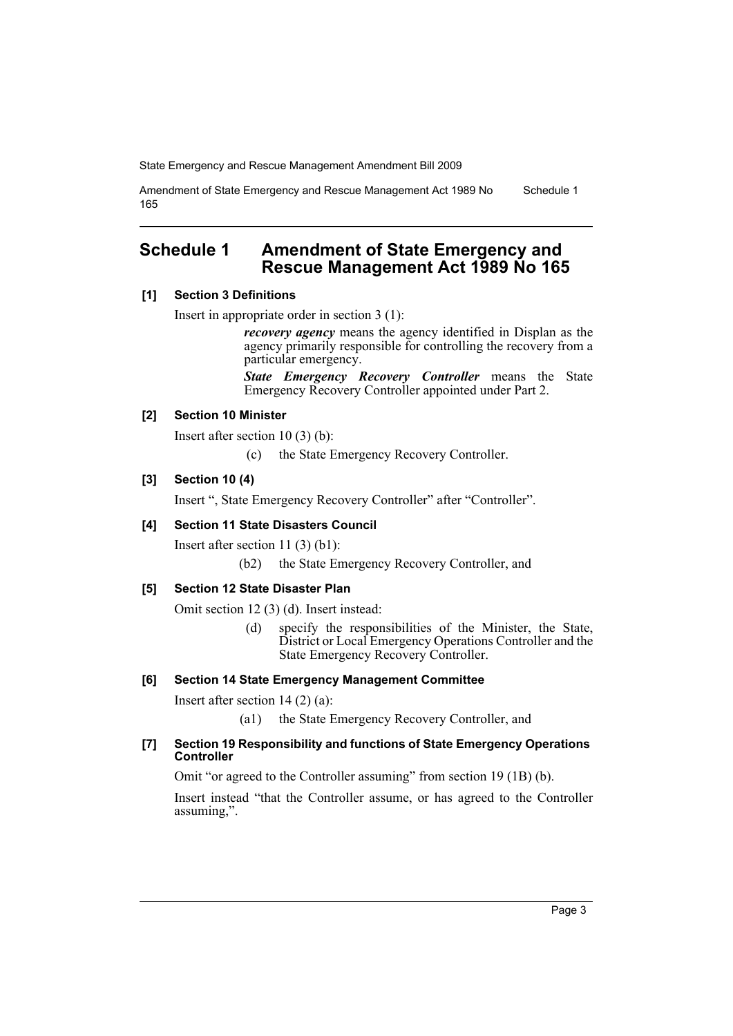Amendment of State Emergency and Rescue Management Act 1989 No 165 Schedule 1

# <span id="page-3-0"></span>**Schedule 1 Amendment of State Emergency and Rescue Management Act 1989 No 165**

## **[1] Section 3 Definitions**

Insert in appropriate order in section 3 (1):

*recovery agency* means the agency identified in Displan as the agency primarily responsible for controlling the recovery from a particular emergency.

*State Emergency Recovery Controller* means the State Emergency Recovery Controller appointed under Part 2.

## **[2] Section 10 Minister**

Insert after section 10 (3) (b):

(c) the State Emergency Recovery Controller.

# **[3] Section 10 (4)**

Insert ", State Emergency Recovery Controller" after "Controller".

## **[4] Section 11 State Disasters Council**

Insert after section 11 (3) (b1):

(b2) the State Emergency Recovery Controller, and

# **[5] Section 12 State Disaster Plan**

Omit section 12 (3) (d). Insert instead:

(d) specify the responsibilities of the Minister, the State, District or Local Emergency Operations Controller and the State Emergency Recovery Controller.

#### **[6] Section 14 State Emergency Management Committee**

Insert after section 14 (2) (a):

(a1) the State Emergency Recovery Controller, and

#### **[7] Section 19 Responsibility and functions of State Emergency Operations Controller**

Omit "or agreed to the Controller assuming" from section 19 (1B) (b).

Insert instead "that the Controller assume, or has agreed to the Controller assuming,".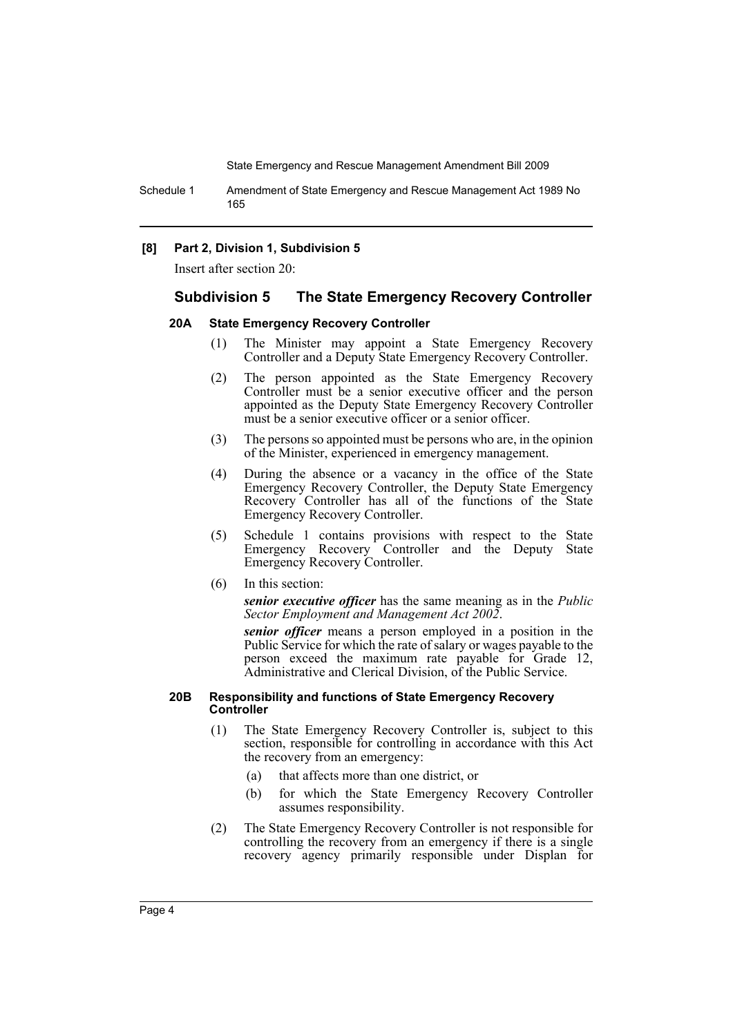Schedule 1 Amendment of State Emergency and Rescue Management Act 1989 No 165

#### **[8] Part 2, Division 1, Subdivision 5**

Insert after section 20:

#### **Subdivision 5 The State Emergency Recovery Controller**

#### **20A State Emergency Recovery Controller**

- (1) The Minister may appoint a State Emergency Recovery Controller and a Deputy State Emergency Recovery Controller.
- (2) The person appointed as the State Emergency Recovery Controller must be a senior executive officer and the person appointed as the Deputy State Emergency Recovery Controller must be a senior executive officer or a senior officer.
- (3) The persons so appointed must be persons who are, in the opinion of the Minister, experienced in emergency management.
- (4) During the absence or a vacancy in the office of the State Emergency Recovery Controller, the Deputy State Emergency Recovery Controller has all of the functions of the State Emergency Recovery Controller.
- (5) Schedule 1 contains provisions with respect to the State Emergency Recovery Controller and the Deputy State Emergency Recovery Controller.
- (6) In this section:

*senior executive officer* has the same meaning as in the *Public Sector Employment and Management Act 2002*.

*senior officer* means a person employed in a position in the Public Service for which the rate of salary or wages payable to the person exceed the maximum rate payable for Grade 12, Administrative and Clerical Division, of the Public Service.

#### **20B Responsibility and functions of State Emergency Recovery Controller**

- (1) The State Emergency Recovery Controller is, subject to this section, responsible for controlling in accordance with this Act the recovery from an emergency:
	- (a) that affects more than one district, or
	- (b) for which the State Emergency Recovery Controller assumes responsibility.
- (2) The State Emergency Recovery Controller is not responsible for controlling the recovery from an emergency if there is a single recovery agency primarily responsible under Displan for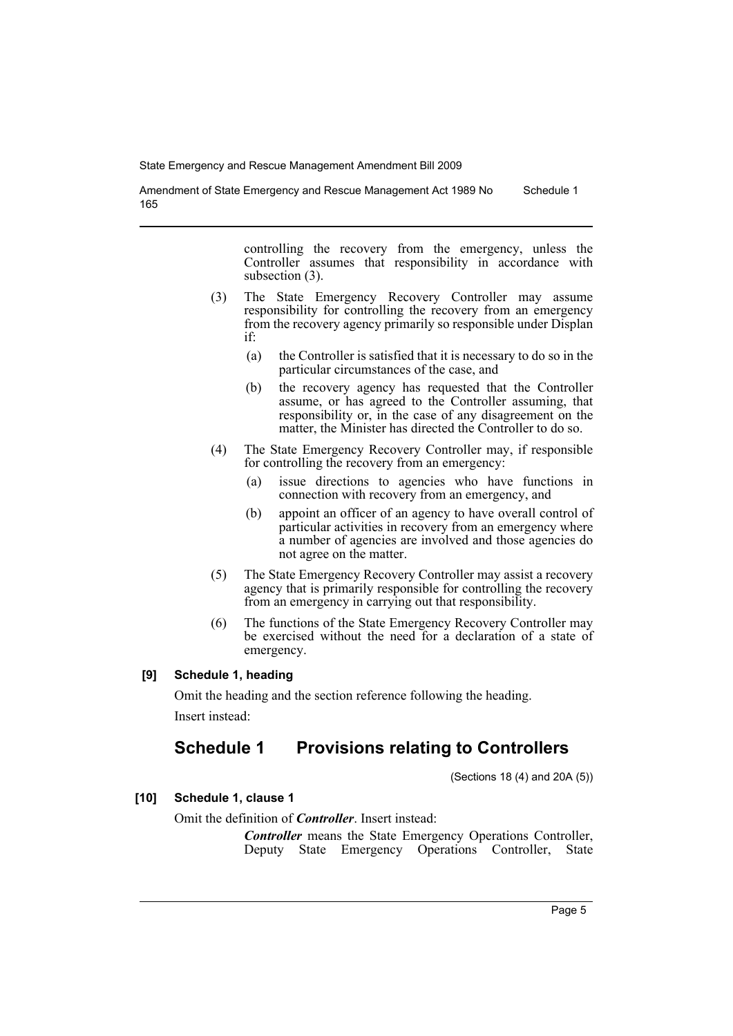Amendment of State Emergency and Rescue Management Act 1989 No 165 Schedule 1

> controlling the recovery from the emergency, unless the Controller assumes that responsibility in accordance with subsection (3).

- (3) The State Emergency Recovery Controller may assume responsibility for controlling the recovery from an emergency from the recovery agency primarily so responsible under Displan if:
	- (a) the Controller is satisfied that it is necessary to do so in the particular circumstances of the case, and
	- (b) the recovery agency has requested that the Controller assume, or has agreed to the Controller assuming, that responsibility or, in the case of any disagreement on the matter, the Minister has directed the Controller to do so.
- (4) The State Emergency Recovery Controller may, if responsible for controlling the recovery from an emergency:
	- (a) issue directions to agencies who have functions in connection with recovery from an emergency, and
	- (b) appoint an officer of an agency to have overall control of particular activities in recovery from an emergency where a number of agencies are involved and those agencies do not agree on the matter.
- (5) The State Emergency Recovery Controller may assist a recovery agency that is primarily responsible for controlling the recovery from an emergency in carrying out that responsibility.
- (6) The functions of the State Emergency Recovery Controller may be exercised without the need for a declaration of a state of emergency.

## **[9] Schedule 1, heading**

Omit the heading and the section reference following the heading. Insert instead:

# **Schedule 1 Provisions relating to Controllers**

(Sections 18 (4) and 20A (5))

**[10] Schedule 1, clause 1**

## Omit the definition of *Controller*. Insert instead:

*Controller* means the State Emergency Operations Controller, Deputy State Emergency Operations Controller, State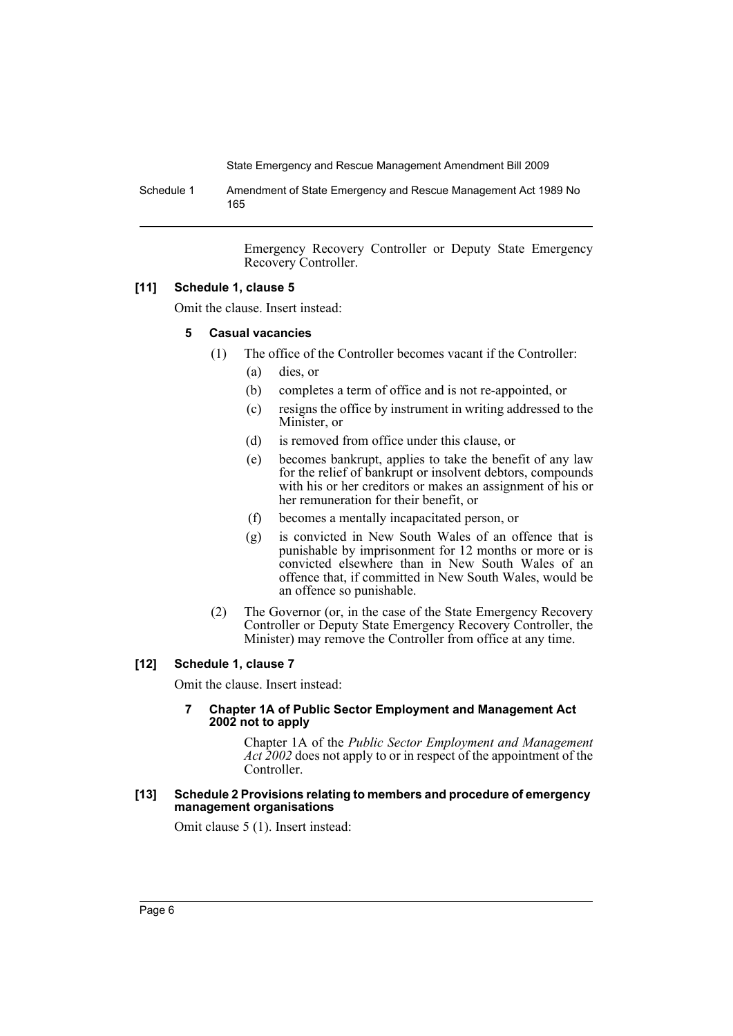Schedule 1 Amendment of State Emergency and Rescue Management Act 1989 No 165

> Emergency Recovery Controller or Deputy State Emergency Recovery Controller.

#### **[11] Schedule 1, clause 5**

Omit the clause. Insert instead:

#### **5 Casual vacancies**

- (1) The office of the Controller becomes vacant if the Controller:
	- (a) dies, or
	- (b) completes a term of office and is not re-appointed, or
	- (c) resigns the office by instrument in writing addressed to the Minister, or
	- (d) is removed from office under this clause, or
	- (e) becomes bankrupt, applies to take the benefit of any law for the relief of bankrupt or insolvent debtors, compounds with his or her creditors or makes an assignment of his or her remuneration for their benefit, or
	- (f) becomes a mentally incapacitated person, or
	- (g) is convicted in New South Wales of an offence that is punishable by imprisonment for 12 months or more or is convicted elsewhere than in New South Wales of an offence that, if committed in New South Wales, would be an offence so punishable.
- (2) The Governor (or, in the case of the State Emergency Recovery Controller or Deputy State Emergency Recovery Controller, the Minister) may remove the Controller from office at any time.

#### **[12] Schedule 1, clause 7**

Omit the clause. Insert instead:

#### **7 Chapter 1A of Public Sector Employment and Management Act 2002 not to apply**

Chapter 1A of the *Public Sector Employment and Management Act 2002* does not apply to or in respect of the appointment of the Controller.

#### **[13] Schedule 2 Provisions relating to members and procedure of emergency management organisations**

Omit clause 5 (1). Insert instead: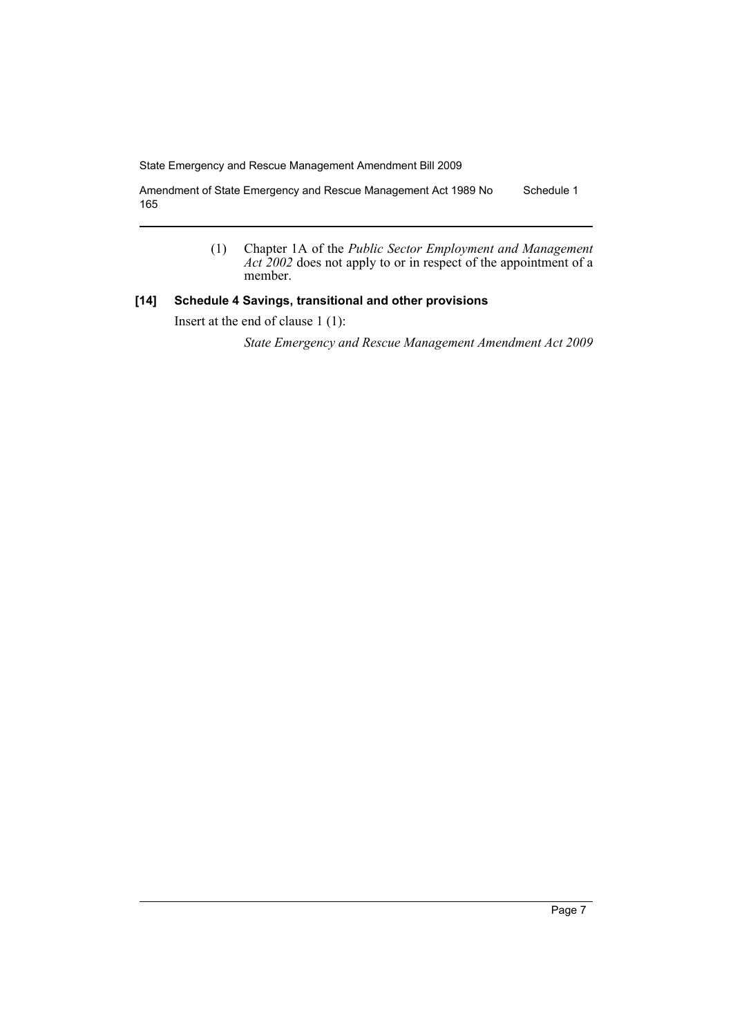Amendment of State Emergency and Rescue Management Act 1989 No 165 Schedule 1

> (1) Chapter 1A of the *Public Sector Employment and Management Act 2002* does not apply to or in respect of the appointment of a member.

### **[14] Schedule 4 Savings, transitional and other provisions**

Insert at the end of clause 1 (1):

*State Emergency and Rescue Management Amendment Act 2009*